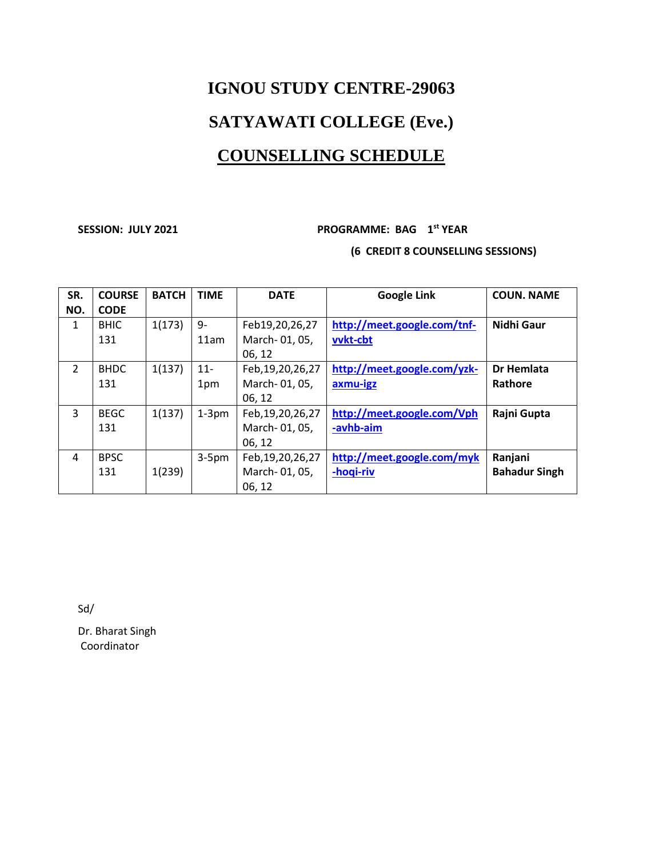# **IGNOU STUDY CENTRE-29063 SATYAWATI COLLEGE (Eve.) COUNSELLING SCHEDULE**

#### **SESSION: JULY 2021 PROGRAMME: BAG 1st YEAR (6 CREDIT 8 COUNSELLING SESSIONS)**

| SR.           | <b>COURSE</b> | <b>BATCH</b> | <b>TIME</b> | <b>DATE</b>         | <b>Google Link</b>          | <b>COUN. NAME</b>    |
|---------------|---------------|--------------|-------------|---------------------|-----------------------------|----------------------|
| NO.           | <b>CODE</b>   |              |             |                     |                             |                      |
| 1             | <b>BHIC</b>   | 1(173)       | 9-          | Feb19,20,26,27      | http://meet.google.com/tnf- | <b>Nidhi Gaur</b>    |
|               | 131           |              | 11am        | March-01, 05,       | vvkt-cbt                    |                      |
|               |               |              |             | 06.12               |                             |                      |
| $\mathcal{P}$ | <b>BHDC</b>   | 1(137)       | $11-$       | Feb, 19, 20, 26, 27 | http://meet.google.com/yzk- | <b>Dr Hemlata</b>    |
|               | 131           |              | 1pm         | March-01, 05,       | axmu-igz                    | Rathore              |
|               |               |              |             | 06, 12              |                             |                      |
| 3             | <b>BEGC</b>   | 1(137)       | $1-3$ pm    | Feb, 19, 20, 26, 27 | http://meet.google.com/Vph  | Rajni Gupta          |
|               | 131           |              |             | March-01, 05,       | -avhb-aim                   |                      |
|               |               |              |             | 06, 12              |                             |                      |
| 4             | <b>BPSC</b>   |              | $3-5pm$     | Feb, 19, 20, 26, 27 | http://meet.google.com/myk  | Ranjani              |
|               | 131           | 1(239)       |             | March-01, 05,       | -hoqi-riv                   | <b>Bahadur Singh</b> |
|               |               |              |             | 06, 12              |                             |                      |

Sd/

Dr. Bharat Singh Coordinator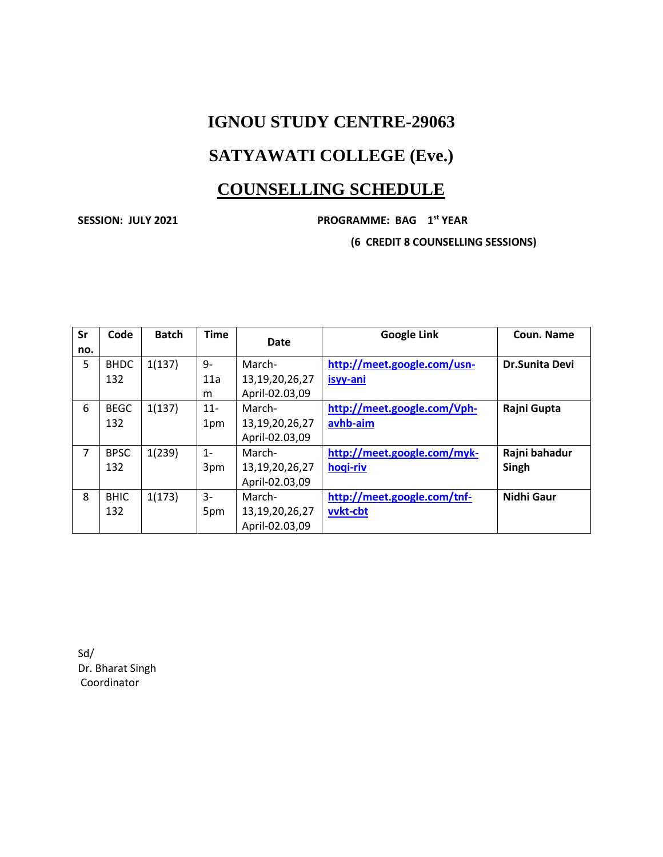## **IGNOU STUDY CENTRE-29063**

## **SATYAWATI COLLEGE (Eve.)**

### **COUNSELLING SCHEDULE**

#### **SESSION: JULY 2021 PROGRAMME: BAG 1st YEAR**

**(6 CREDIT 8 COUNSELLING SESSIONS)**

| Sr  | Code        | <b>Batch</b> | <b>Time</b> | Date           | <b>Google Link</b>          | Coun. Name            |
|-----|-------------|--------------|-------------|----------------|-----------------------------|-----------------------|
| no. |             |              |             |                |                             |                       |
| 5   | <b>BHDC</b> | 1(137)       | $9-$        | March-         | http://meet.google.com/usn- | <b>Dr.Sunita Devi</b> |
|     | 132         |              | 11a         | 13,19,20,26,27 | isyy-ani                    |                       |
|     |             |              | m           | April-02.03,09 |                             |                       |
| 6   | <b>BEGC</b> | 1(137)       | $11 -$      | March-         | http://meet.google.com/Vph- | Rajni Gupta           |
|     | 132         |              | 1pm         | 13,19,20,26,27 | avhb-aim                    |                       |
|     |             |              |             | April-02.03,09 |                             |                       |
| 7   | <b>BPSC</b> | 1(239)       | $1 -$       | March-         | http://meet.google.com/myk- | Rajni bahadur         |
|     | 132         |              | 3pm         | 13,19,20,26,27 | hogi-riv                    | Singh                 |
|     |             |              |             | April-02.03,09 |                             |                       |
| 8   | <b>BHIC</b> | 1(173)       | 3-          | March-         | http://meet.google.com/tnf- | Nidhi Gaur            |
|     | 132         |              | 5pm         | 13,19,20,26,27 | vvkt-cbt                    |                       |
|     |             |              |             | April-02.03,09 |                             |                       |

Sd/ Dr. Bharat Singh Coordinator